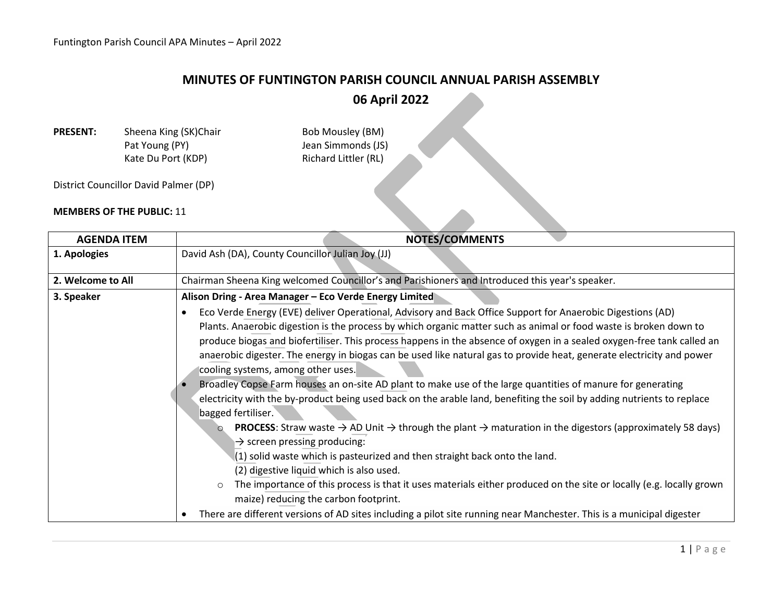## **MINUTES OF FUNTINGTON PARISH COUNCIL ANNUAL PARISH ASSEMBLY**

**06 April 2022**

**PRESENT:** Sheena King (SK)Chair Bob Mousley (BM) Pat Young (PY) Same Simmonds (JS) Kate Du Port (KDP) Richard Littler (RL)

District Councillor David Palmer (DP)

## **MEMBERS OF THE PUBLIC:** 11

| <b>AGENDA ITEM</b> | NOTES/COMMENTS                                                                                                                                                                                                                                                                                                                                                                                                                                                                                                                                                                                                                                                                                                                                                                                                                                                                                                                                                                                                                                                                                                                                                                                                                                                                                                                                                          |
|--------------------|-------------------------------------------------------------------------------------------------------------------------------------------------------------------------------------------------------------------------------------------------------------------------------------------------------------------------------------------------------------------------------------------------------------------------------------------------------------------------------------------------------------------------------------------------------------------------------------------------------------------------------------------------------------------------------------------------------------------------------------------------------------------------------------------------------------------------------------------------------------------------------------------------------------------------------------------------------------------------------------------------------------------------------------------------------------------------------------------------------------------------------------------------------------------------------------------------------------------------------------------------------------------------------------------------------------------------------------------------------------------------|
| 1. Apologies       | David Ash (DA), County Councillor Julian Joy (JJ)                                                                                                                                                                                                                                                                                                                                                                                                                                                                                                                                                                                                                                                                                                                                                                                                                                                                                                                                                                                                                                                                                                                                                                                                                                                                                                                       |
| 2. Welcome to All  | Chairman Sheena King welcomed Councillor's and Parishioners and Introduced this year's speaker.                                                                                                                                                                                                                                                                                                                                                                                                                                                                                                                                                                                                                                                                                                                                                                                                                                                                                                                                                                                                                                                                                                                                                                                                                                                                         |
| 3. Speaker         | Alison Dring - Area Manager - Eco Verde Energy Limited<br>Eco Verde Energy (EVE) deliver Operational, Advisory and Back Office Support for Anaerobic Digestions (AD)<br>Plants. Anaerobic digestion is the process by which organic matter such as animal or food waste is broken down to<br>produce biogas and biofertiliser. This process happens in the absence of oxygen in a sealed oxygen-free tank called an<br>anaerobic digester. The energy in biogas can be used like natural gas to provide heat, generate electricity and power<br>cooling systems, among other uses.<br>Broadley Copse Farm houses an on-site AD plant to make use of the large quantities of manure for generating<br>electricity with the by-product being used back on the arable land, benefiting the soil by adding nutrients to replace<br>bagged fertiliser.<br><b>PROCESS:</b> Straw waste $\rightarrow$ AD Unit $\rightarrow$ through the plant $\rightarrow$ maturation in the digestors (approximately 58 days)<br>$\Omega$<br>$\rightarrow$ screen pressing producing:<br>$(1)$ solid waste which is pasteurized and then straight back onto the land.<br>(2) digestive liquid which is also used.<br>The importance of this process is that it uses materials either produced on the site or locally (e.g. locally grown<br>$\circ$<br>maize) reducing the carbon footprint. |
|                    | There are different versions of AD sites including a pilot site running near Manchester. This is a municipal digester                                                                                                                                                                                                                                                                                                                                                                                                                                                                                                                                                                                                                                                                                                                                                                                                                                                                                                                                                                                                                                                                                                                                                                                                                                                   |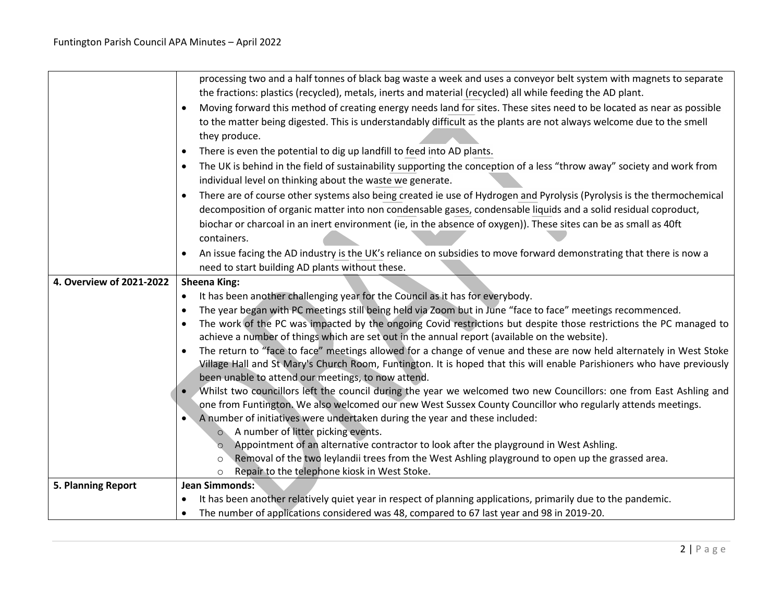|                          | processing two and a half tonnes of black bag waste a week and uses a conveyor belt system with magnets to separate                                                                                                               |
|--------------------------|-----------------------------------------------------------------------------------------------------------------------------------------------------------------------------------------------------------------------------------|
|                          | the fractions: plastics (recycled), metals, inerts and material (recycled) all while feeding the AD plant.                                                                                                                        |
|                          | Moving forward this method of creating energy needs land for sites. These sites need to be located as near as possible                                                                                                            |
|                          | to the matter being digested. This is understandably difficult as the plants are not always welcome due to the smell                                                                                                              |
|                          | they produce.                                                                                                                                                                                                                     |
|                          | There is even the potential to dig up landfill to feed into AD plants.                                                                                                                                                            |
|                          | The UK is behind in the field of sustainability supporting the conception of a less "throw away" society and work from                                                                                                            |
|                          | individual level on thinking about the waste we generate.                                                                                                                                                                         |
|                          | There are of course other systems also being created ie use of Hydrogen and Pyrolysis (Pyrolysis is the thermochemical                                                                                                            |
|                          | decomposition of organic matter into non condensable gases, condensable liquids and a solid residual coproduct,                                                                                                                   |
|                          | biochar or charcoal in an inert environment (ie, in the absence of oxygen)). These sites can be as small as 40ft                                                                                                                  |
|                          | containers.                                                                                                                                                                                                                       |
|                          | An issue facing the AD industry is the UK's reliance on subsidies to move forward demonstrating that there is now a                                                                                                               |
|                          | need to start building AD plants without these.                                                                                                                                                                                   |
| 4. Overview of 2021-2022 | <b>Sheena King:</b>                                                                                                                                                                                                               |
|                          | It has been another challenging year for the Council as it has for everybody.<br>$\bullet$                                                                                                                                        |
|                          | The year began with PC meetings still being held via Zoom but in June "face to face" meetings recommenced.<br>$\bullet$                                                                                                           |
|                          | The work of the PC was impacted by the ongoing Covid restrictions but despite those restrictions the PC managed to                                                                                                                |
|                          | achieve a number of things which are set out in the annual report (available on the website).                                                                                                                                     |
|                          | The return to "face to face" meetings allowed for a change of venue and these are now held alternately in West Stoke                                                                                                              |
|                          | Village Hall and St Mary's Church Room, Funtington. It is hoped that this will enable Parishioners who have previously                                                                                                            |
|                          | been unable to attend our meetings, to now attend.                                                                                                                                                                                |
|                          | Whilst two councillors left the council during the year we welcomed two new Councillors: one from East Ashling and<br>one from Funtington. We also welcomed our new West Sussex County Councillor who regularly attends meetings. |
|                          | A number of initiatives were undertaken during the year and these included:                                                                                                                                                       |
|                          | ○ A number of litter picking events.                                                                                                                                                                                              |
|                          | Appointment of an alternative contractor to look after the playground in West Ashling.<br>$\circ$                                                                                                                                 |
|                          | Removal of the two leylandii trees from the West Ashling playground to open up the grassed area.<br>$\circ$                                                                                                                       |
|                          | Repair to the telephone kiosk in West Stoke.<br>$\circ$                                                                                                                                                                           |
| 5. Planning Report       | <b>Jean Simmonds:</b>                                                                                                                                                                                                             |
|                          | It has been another relatively quiet year in respect of planning applications, primarily due to the pandemic.                                                                                                                     |
|                          | The number of applications considered was 48, compared to 67 last year and 98 in 2019-20.                                                                                                                                         |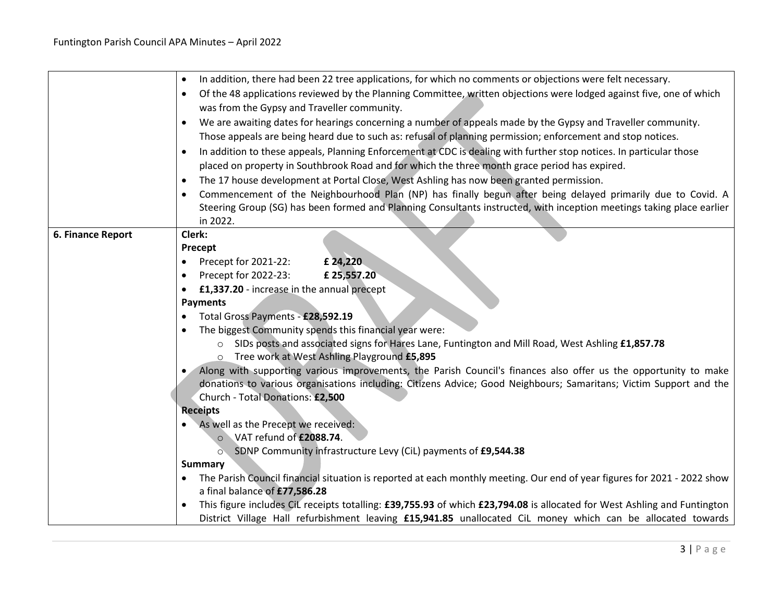|                   | In addition, there had been 22 tree applications, for which no comments or objections were felt necessary.<br>$\bullet$          |
|-------------------|----------------------------------------------------------------------------------------------------------------------------------|
|                   | Of the 48 applications reviewed by the Planning Committee, written objections were lodged against five, one of which             |
|                   | was from the Gypsy and Traveller community.                                                                                      |
|                   | We are awaiting dates for hearings concerning a number of appeals made by the Gypsy and Traveller community.<br>$\bullet$        |
|                   | Those appeals are being heard due to such as: refusal of planning permission; enforcement and stop notices.                      |
|                   | In addition to these appeals, Planning Enforcement at CDC is dealing with further stop notices. In particular those<br>$\bullet$ |
|                   | placed on property in Southbrook Road and for which the three month grace period has expired.                                    |
|                   | The 17 house development at Portal Close, West Ashling has now been granted permission.                                          |
|                   | Commencement of the Neighbourhood Plan (NP) has finally begun after being delayed primarily due to Covid. A                      |
|                   | Steering Group (SG) has been formed and Planning Consultants instructed, with inception meetings taking place earlier            |
|                   | in 2022.                                                                                                                         |
| 6. Finance Report | Clerk:                                                                                                                           |
|                   | Precept                                                                                                                          |
|                   | £ 24,220<br>Precept for 2021-22:<br>٠                                                                                            |
|                   | Precept for 2022-23:<br>£ 25,557.20<br>$\bullet$                                                                                 |
|                   | £1,337.20 - increase in the annual precept                                                                                       |
|                   | <b>Payments</b>                                                                                                                  |
|                   | Total Gross Payments - £28,592.19                                                                                                |
|                   | The biggest Community spends this financial year were:                                                                           |
|                   | ○ SIDs posts and associated signs for Hares Lane, Funtington and Mill Road, West Ashling £1,857.78                               |
|                   | o Tree work at West Ashling Playground £5,895                                                                                    |
|                   | Along with supporting various improvements, the Parish Council's finances also offer us the opportunity to make                  |
|                   | donations to various organisations including: Citizens Advice; Good Neighbours; Samaritans; Victim Support and the               |
|                   | Church - Total Donations: £2,500                                                                                                 |
|                   | <b>Receipts</b><br>As well as the Precept we received:                                                                           |
|                   | VAT refund of £2088.74.<br>$\circ$                                                                                               |
|                   | SDNP Community infrastructure Levy (CiL) payments of £9,544.38<br>$\circ$                                                        |
|                   | <b>Summary</b>                                                                                                                   |
|                   | The Parish Council financial situation is reported at each monthly meeting. Our end of year figures for 2021 - 2022 show         |
|                   | a final balance of £77,586.28                                                                                                    |
|                   | This figure includes CiL receipts totalling: £39,755.93 of which £23,794.08 is allocated for West Ashling and Funtington         |
|                   | District Village Hall refurbishment leaving £15,941.85 unallocated CiL money which can be allocated towards                      |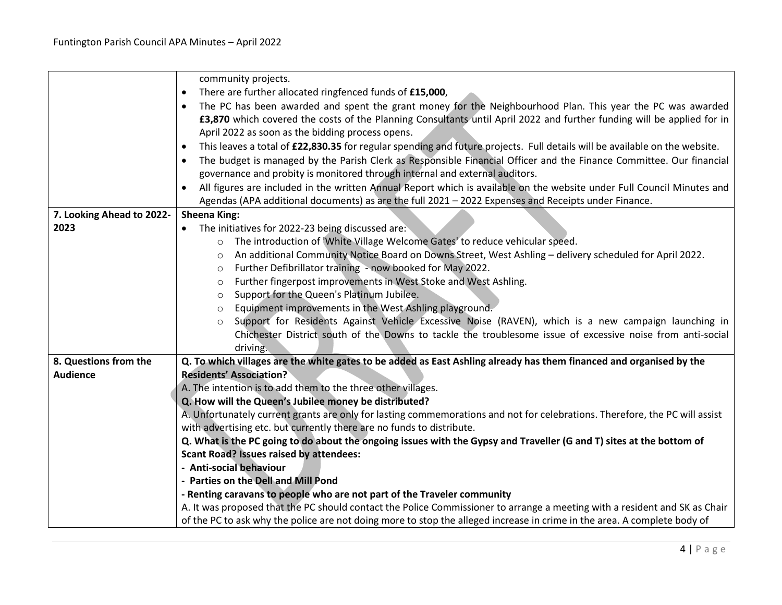|                           | community projects.                                                                                                         |
|---------------------------|-----------------------------------------------------------------------------------------------------------------------------|
|                           | There are further allocated ringfenced funds of £15,000,                                                                    |
|                           | The PC has been awarded and spent the grant money for the Neighbourhood Plan. This year the PC was awarded                  |
|                           | £3,870 which covered the costs of the Planning Consultants until April 2022 and further funding will be applied for in      |
|                           | April 2022 as soon as the bidding process opens.                                                                            |
|                           | This leaves a total of £22,830.35 for regular spending and future projects. Full details will be available on the website.  |
|                           | The budget is managed by the Parish Clerk as Responsible Financial Officer and the Finance Committee. Our financial         |
|                           | governance and probity is monitored through internal and external auditors.                                                 |
|                           | All figures are included in the written Annual Report which is available on the website under Full Council Minutes and      |
|                           | Agendas (APA additional documents) as are the full 2021 - 2022 Expenses and Receipts under Finance.                         |
| 7. Looking Ahead to 2022- | <b>Sheena King:</b>                                                                                                         |
| 2023                      | The initiatives for 2022-23 being discussed are:<br>$\bullet$                                                               |
|                           | The introduction of 'White Village Welcome Gates' to reduce vehicular speed.<br>$\circ$                                     |
|                           | An additional Community Notice Board on Downs Street, West Ashling - delivery scheduled for April 2022.<br>O                |
|                           | Further Defibrillator training - now booked for May 2022.<br>O                                                              |
|                           | Further fingerpost improvements in West Stoke and West Ashling.<br>O                                                        |
|                           | Support for the Queen's Platinum Jubilee.<br>$\circ$                                                                        |
|                           | Equipment improvements in the West Ashling playground.<br>$\circ$                                                           |
|                           | Support for Residents Against Vehicle Excessive Noise (RAVEN), which is a new campaign launching in<br>$\circ$              |
|                           | Chichester District south of the Downs to tackle the troublesome issue of excessive noise from anti-social                  |
|                           | driving.                                                                                                                    |
| 8. Questions from the     | Q. To which villages are the white gates to be added as East Ashling already has them financed and organised by the         |
| <b>Audience</b>           | <b>Residents' Association?</b>                                                                                              |
|                           | A. The intention is to add them to the three other villages.                                                                |
|                           | Q. How will the Queen's Jubilee money be distributed?                                                                       |
|                           | A. Unfortunately current grants are only for lasting commemorations and not for celebrations. Therefore, the PC will assist |
|                           | with advertising etc. but currently there are no funds to distribute.                                                       |
|                           | Q. What is the PC going to do about the ongoing issues with the Gypsy and Traveller (G and T) sites at the bottom of        |
|                           | <b>Scant Road? Issues raised by attendees:</b>                                                                              |
|                           | - Anti-social behaviour                                                                                                     |
|                           | - Parties on the Dell and Mill Pond                                                                                         |
|                           | - Renting caravans to people who are not part of the Traveler community                                                     |
|                           | A. It was proposed that the PC should contact the Police Commissioner to arrange a meeting with a resident and SK as Chair  |
|                           | of the PC to ask why the police are not doing more to stop the alleged increase in crime in the area. A complete body of    |